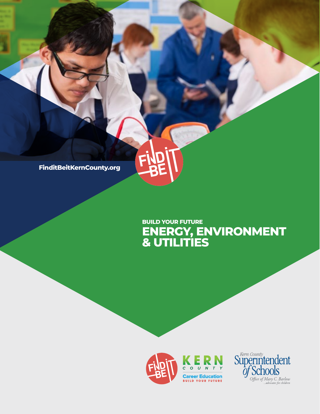**FinditBeitKernCounty.org**

## **ENERGY, ENVIRONMENT & UTILITIES BUILD YOUR FUTURE**